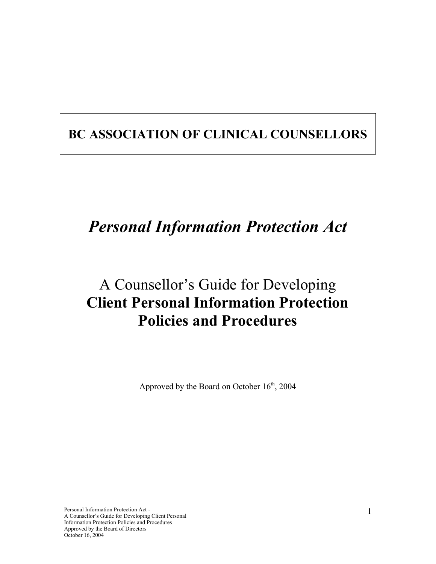## **BC ASSOCIATION OF CLINICAL COUNSELLORS**

# *Personal Information Protection Act*

## A Counsellor's Guide for Developing **Client Personal Information Protection Policies and Procedures**

Approved by the Board on October  $16<sup>th</sup>$ , 2004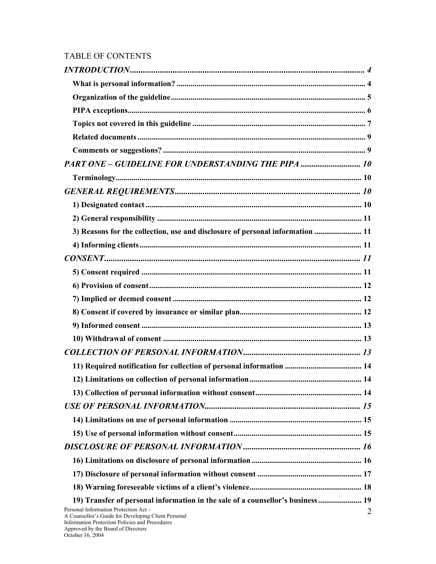## TABLE OF CONTENTS

| PART ONE - GUIDELINE FOR UNDERSTANDING THE PIPA  10                                                                                                                                                    |
|--------------------------------------------------------------------------------------------------------------------------------------------------------------------------------------------------------|
|                                                                                                                                                                                                        |
|                                                                                                                                                                                                        |
|                                                                                                                                                                                                        |
|                                                                                                                                                                                                        |
| 3) Reasons for the collection, use and disclosure of personal information  11                                                                                                                          |
|                                                                                                                                                                                                        |
|                                                                                                                                                                                                        |
|                                                                                                                                                                                                        |
|                                                                                                                                                                                                        |
|                                                                                                                                                                                                        |
|                                                                                                                                                                                                        |
|                                                                                                                                                                                                        |
|                                                                                                                                                                                                        |
|                                                                                                                                                                                                        |
|                                                                                                                                                                                                        |
|                                                                                                                                                                                                        |
|                                                                                                                                                                                                        |
|                                                                                                                                                                                                        |
|                                                                                                                                                                                                        |
|                                                                                                                                                                                                        |
|                                                                                                                                                                                                        |
|                                                                                                                                                                                                        |
|                                                                                                                                                                                                        |
|                                                                                                                                                                                                        |
| 19) Transfer of personal information in the sale of a counsellor's business  19                                                                                                                        |
| Personal Information Protection Act -<br>$\overline{2}$<br>A Counsellor's Guide for Developing Client Personal<br>Information Protection Policies and Procedures<br>Approved by the Board of Directors |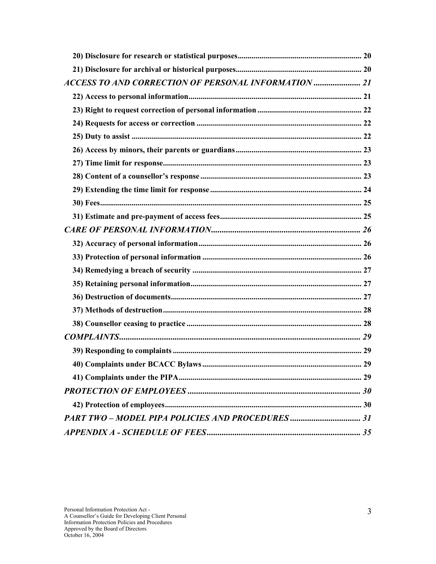| ACCESS TO AND CORRECTION OF PERSONAL INFORMATION |  |
|--------------------------------------------------|--|
|                                                  |  |
|                                                  |  |
|                                                  |  |
|                                                  |  |
|                                                  |  |
|                                                  |  |
|                                                  |  |
|                                                  |  |
|                                                  |  |
|                                                  |  |
|                                                  |  |
|                                                  |  |
|                                                  |  |
|                                                  |  |
|                                                  |  |
|                                                  |  |
|                                                  |  |
|                                                  |  |
|                                                  |  |
|                                                  |  |
|                                                  |  |
|                                                  |  |
|                                                  |  |
|                                                  |  |
|                                                  |  |
|                                                  |  |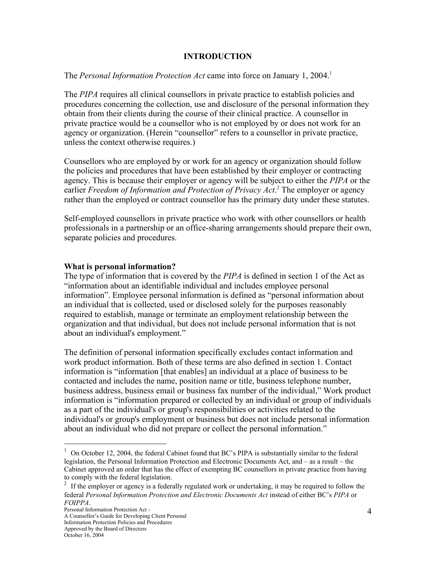#### **INTRODUCTION**

The *Personal Information Protection Act* came into force on January 1, 2004.<sup>1</sup>

The *PIPA* requires all clinical counsellors in private practice to establish policies and procedures concerning the collection, use and disclosure of the personal information they obtain from their clients during the course of their clinical practice. A counsellor in private practice would be a counsellor who is not employed by or does not work for an agency or organization. (Herein "counsellor" refers to a counsellor in private practice, unless the context otherwise requires.)

Counsellors who are employed by or work for an agency or organization should follow the policies and procedures that have been established by their employer or contracting agency. This is because their employer or agency will be subject to either the *PIPA* or the earlier *Freedom of Information and Protection of Privacy Act*. <sup>2</sup> The employer or agency rather than the employed or contract counsellor has the primary duty under these statutes.

Self-employed counsellors in private practice who work with other counsellors or health professionals in a partnership or an office-sharing arrangements should prepare their own, separate policies and procedures.

#### **What is personal information?**

The type of information that is covered by the *PIPA* is defined in section 1 of the Act as "information about an identifiable individual and includes employee personal information". Employee personal information is defined as "personal information about an individual that is collected, used or disclosed solely for the purposes reasonably required to establish, manage or terminate an employment relationship between the organization and that individual, but does not include personal information that is not about an individual's employment."

The definition of personal information specifically excludes contact information and work product information. Both of these terms are also defined in section 1. Contact information is "information [that enables] an individual at a place of business to be contacted and includes the name, position name or title, business telephone number, business address, business email or business fax number of the individual," Work product information is "information prepared or collected by an individual or group of individuals as a part of the individual's or group's responsibilities or activities related to the individual's or group's employment or business but does not include personal information about an individual who did not prepare or collect the personal information."

 $1$  On October 12, 2004, the federal Cabinet found that BC's PIPA is substantially similar to the federal legislation, the Personal Information Protection and Electronic Documents Act, and – as a result – the Cabinet approved an order that has the effect of exempting BC counsellors in private practice from having to comply with the federal legislation.

<sup>&</sup>lt;sup>2</sup> If the employer or agency is a federally regulated work or undertaking, it may be required to follow the federal *Personal Information Protection and Electronic Documents Act* instead of either BC's *PIPA* or *FOIPPA*.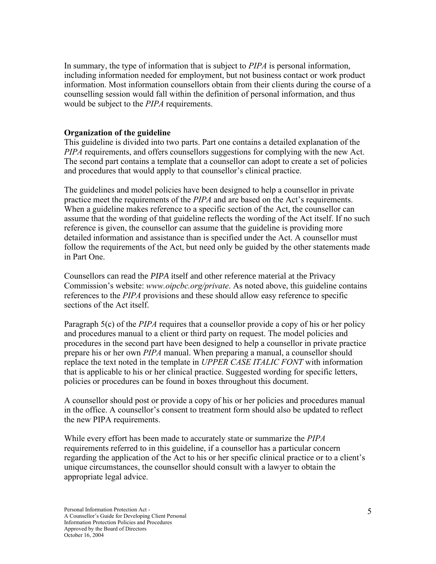In summary, the type of information that is subject to *PIPA* is personal information, including information needed for employment, but not business contact or work product information. Most information counsellors obtain from their clients during the course of a counselling session would fall within the definition of personal information, and thus would be subject to the *PIPA* requirements.

#### **Organization of the guideline**

This guideline is divided into two parts. Part one contains a detailed explanation of the *PIPA* requirements, and offers counsellors suggestions for complying with the new Act. The second part contains a template that a counsellor can adopt to create a set of policies and procedures that would apply to that counsellor's clinical practice.

The guidelines and model policies have been designed to help a counsellor in private practice meet the requirements of the *PIPA* and are based on the Act's requirements. When a guideline makes reference to a specific section of the Act, the counsellor can assume that the wording of that guideline reflects the wording of the Act itself. If no such reference is given, the counsellor can assume that the guideline is providing more detailed information and assistance than is specified under the Act. A counsellor must follow the requirements of the Act, but need only be guided by the other statements made in Part One.

Counsellors can read the *PIPA* itself and other reference material at the Privacy Commission's website: *www.oipcbc.org/private*. As noted above, this guideline contains references to the *PIPA* provisions and these should allow easy reference to specific sections of the Act itself.

Paragraph 5(c) of the *PIPA* requires that a counsellor provide a copy of his or her policy and procedures manual to a client or third party on request. The model policies and procedures in the second part have been designed to help a counsellor in private practice prepare his or her own *PIPA* manual. When preparing a manual, a counsellor should replace the text noted in the template in *UPPER CASE ITALIC FONT* with information that is applicable to his or her clinical practice. Suggested wording for specific letters, policies or procedures can be found in boxes throughout this document.

A counsellor should post or provide a copy of his or her policies and procedures manual in the office. A counsellor's consent to treatment form should also be updated to reflect the new PIPA requirements.

While every effort has been made to accurately state or summarize the *PIPA* requirements referred to in this guideline, if a counsellor has a particular concern regarding the application of the Act to his or her specific clinical practice or to a client's unique circumstances, the counsellor should consult with a lawyer to obtain the appropriate legal advice.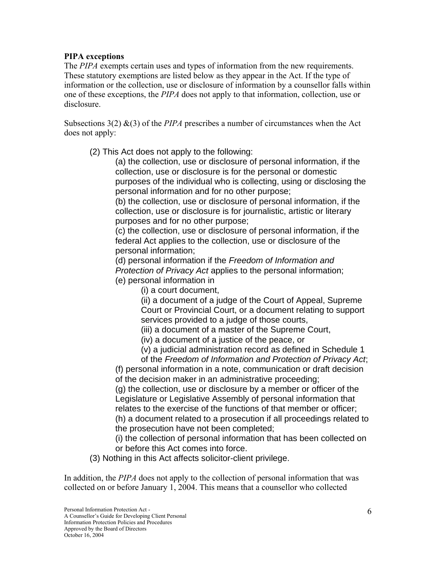#### **PIPA exceptions**

The *PIPA* exempts certain uses and types of information from the new requirements. These statutory exemptions are listed below as they appear in the Act. If the type of information or the collection, use or disclosure of information by a counsellor falls within one of these exceptions, the *PIPA* does not apply to that information, collection, use or disclosure.

Subsections  $3(2)$  &(3) of the *PIPA* prescribes a number of circumstances when the Act does not apply:

(2) This Act does not apply to the following:

(a) the collection, use or disclosure of personal information, if the collection, use or disclosure is for the personal or domestic purposes of the individual who is collecting, using or disclosing the personal information and for no other purpose;

(b) the collection, use or disclosure of personal information, if the collection, use or disclosure is for journalistic, artistic or literary purposes and for no other purpose;

(c) the collection, use or disclosure of personal information, if the federal Act applies to the collection, use or disclosure of the personal information;

(d) personal information if the *Freedom of Information and Protection of Privacy Act* applies to the personal information; (e) personal information in

(i) a court document,

(ii) a document of a judge of the Court of Appeal, Supreme Court or Provincial Court, or a document relating to support services provided to a judge of those courts,

(iii) a document of a master of the Supreme Court,

(iv) a document of a justice of the peace, or

(v) a judicial administration record as defined in Schedule 1

of the *Freedom of Information and Protection of Privacy Act*; (f) personal information in a note, communication or draft decision

of the decision maker in an administrative proceeding;

(g) the collection, use or disclosure by a member or officer of the Legislature or Legislative Assembly of personal information that relates to the exercise of the functions of that member or officer; (h) a document related to a prosecution if all proceedings related to the prosecution have not been completed;

(i) the collection of personal information that has been collected on or before this Act comes into force.

(3) Nothing in this Act affects solicitor-client privilege.

In addition, the *PIPA* does not apply to the collection of personal information that was collected on or before January 1, 2004. This means that a counsellor who collected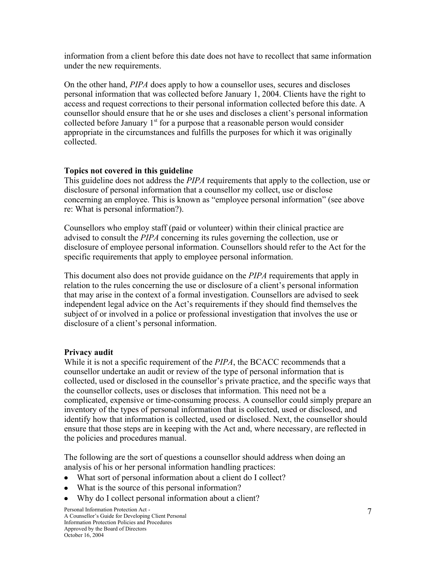information from a client before this date does not have to recollect that same information under the new requirements.

On the other hand, *PIPA* does apply to how a counsellor uses, secures and discloses personal information that was collected before January 1, 2004. Clients have the right to access and request corrections to their personal information collected before this date. A counsellor should ensure that he or she uses and discloses a client's personal information collected before January  $1<sup>st</sup>$  for a purpose that a reasonable person would consider appropriate in the circumstances and fulfills the purposes for which it was originally collected.

#### **Topics not covered in this guideline**

This guideline does not address the *PIPA* requirements that apply to the collection, use or disclosure of personal information that a counsellor my collect, use or disclose concerning an employee. This is known as "employee personal information" (see above re: What is personal information?).

Counsellors who employ staff (paid or volunteer) within their clinical practice are advised to consult the *PIPA* concerning its rules governing the collection, use or disclosure of employee personal information. Counsellors should refer to the Act for the specific requirements that apply to employee personal information.

This document also does not provide guidance on the *PIPA* requirements that apply in relation to the rules concerning the use or disclosure of a client's personal information that may arise in the context of a formal investigation. Counsellors are advised to seek independent legal advice on the Act's requirements if they should find themselves the subject of or involved in a police or professional investigation that involves the use or disclosure of a client's personal information.

## **Privacy audit**

While it is not a specific requirement of the *PIPA*, the BCACC recommends that a counsellor undertake an audit or review of the type of personal information that is collected, used or disclosed in the counsellor's private practice, and the specific ways that the counsellor collects, uses or discloses that information. This need not be a complicated, expensive or time-consuming process. A counsellor could simply prepare an inventory of the types of personal information that is collected, used or disclosed, and identify how that information is collected, used or disclosed. Next, the counsellor should ensure that those steps are in keeping with the Act and, where necessary, are reflected in the policies and procedures manual.

The following are the sort of questions a counsellor should address when doing an analysis of his or her personal information handling practices:

- What sort of personal information about a client do I collect?
- What is the source of this personal information?
- Why do I collect personal information about a client?  $\bullet$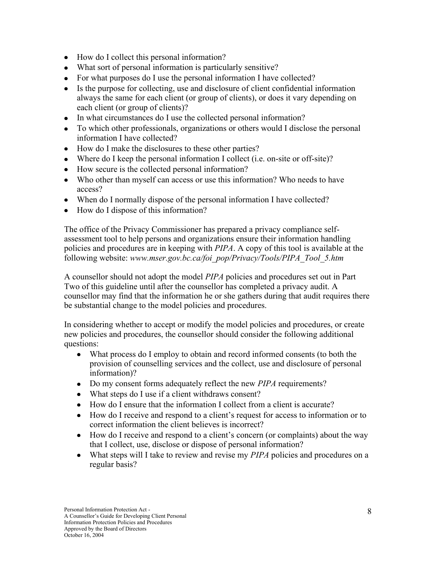- How do I collect this personal information?
- What sort of personal information is particularly sensitive?
- For what purposes do I use the personal information I have collected?
- Is the purpose for collecting, use and disclosure of client confidential information always the same for each client (or group of clients), or does it vary depending on each client (or group of clients)?
- In what circumstances do I use the collected personal information?
- To which other professionals, organizations or others would I disclose the personal information I have collected?
- How do I make the disclosures to these other parties?
- Where do I keep the personal information I collect (i.e. on-site or off-site)?
- How secure is the collected personal information?
- Who other than myself can access or use this information? Who needs to have access?
- When do I normally dispose of the personal information I have collected?
- How do I dispose of this information?

The office of the Privacy Commissioner has prepared a privacy compliance selfassessment tool to help persons and organizations ensure their information handling policies and procedures are in keeping with *PIPA*. A copy of this tool is available at the following website: *www.mser.gov.bc.ca/foi\_pop/Privacy/Tools/PIPA\_Tool\_5.htm*

A counsellor should not adopt the model *PIPA* policies and procedures set out in Part Two of this guideline until after the counsellor has completed a privacy audit. A counsellor may find that the information he or she gathers during that audit requires there be substantial change to the model policies and procedures.

In considering whether to accept or modify the model policies and procedures, or create new policies and procedures, the counsellor should consider the following additional questions:

- What process do I employ to obtain and record informed consents (to both the provision of counselling services and the collect, use and disclosure of personal information)?
- Do my consent forms adequately reflect the new *PIPA* requirements?
- What steps do I use if a client withdraws consent?
- How do I ensure that the information I collect from a client is accurate?
- How do I receive and respond to a client's request for access to information or to correct information the client believes is incorrect?
- How do I receive and respond to a client's concern (or complaints) about the way that I collect, use, disclose or dispose of personal information?
- What steps will I take to review and revise my *PIPA* policies and procedures on a regular basis?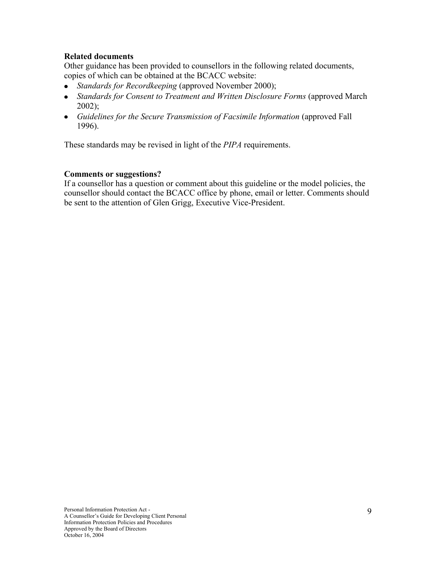#### **Related documents**

Other guidance has been provided to counsellors in the following related documents, copies of which can be obtained at the BCACC website:

- *Standards for Recordkeeping* (approved November 2000);
- Standards for Consent to Treatment and Written Disclosure Forms (approved March 2002);
- *Guidelines for the Secure Transmission of Facsimile Information* (approved Fall 1996).

These standards may be revised in light of the *PIPA* requirements.

#### **Comments or suggestions?**

If a counsellor has a question or comment about this guideline or the model policies, the counsellor should contact the BCACC office by phone, email or letter. Comments should be sent to the attention of Glen Grigg, Executive Vice-President.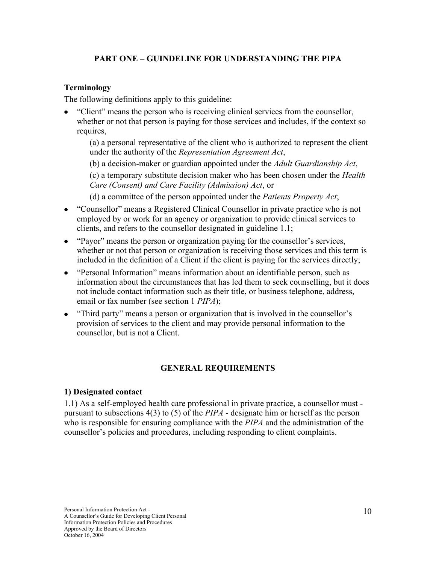## **PART ONE – GUINDELINE FOR UNDERSTANDING THE PIPA**

#### **Terminology**

The following definitions apply to this guideline:

"Client" means the person who is receiving clinical services from the counsellor, whether or not that person is paying for those services and includes, if the context so requires,

(a) a personal representative of the client who is authorized to represent the client under the authority of the *Representation Agreement Act*,

(b) a decision-maker or guardian appointed under the *Adult Guardianship Act*,

(c) a temporary substitute decision maker who has been chosen under the *Health Care (Consent) and Care Facility (Admission) Act*, or

(d) a committee of the person appointed under the *Patients Property Act*;

- "Counsellor" means a Registered Clinical Counsellor in private practice who is not employed by or work for an agency or organization to provide clinical services to clients, and refers to the counsellor designated in guideline 1.1;
- "Payor" means the person or organization paying for the counsellor's services, whether or not that person or organization is receiving those services and this term is included in the definition of a Client if the client is paying for the services directly;
- "Personal Information" means information about an identifiable person, such as information about the circumstances that has led them to seek counselling, but it does not include contact information such as their title, or business telephone, address, email or fax number (see section 1 *PIPA*);
- "Third party" means a person or organization that is involved in the counsellor's provision of services to the client and may provide personal information to the counsellor, but is not a Client.

## **GENERAL REQUIREMENTS**

#### **1) Designated contact**

1.1) As a self-employed health care professional in private practice, a counsellor must pursuant to subsections 4(3) to (5) of the *PIPA* - designate him or herself as the person who is responsible for ensuring compliance with the *PIPA* and the administration of the counsellor's policies and procedures, including responding to client complaints.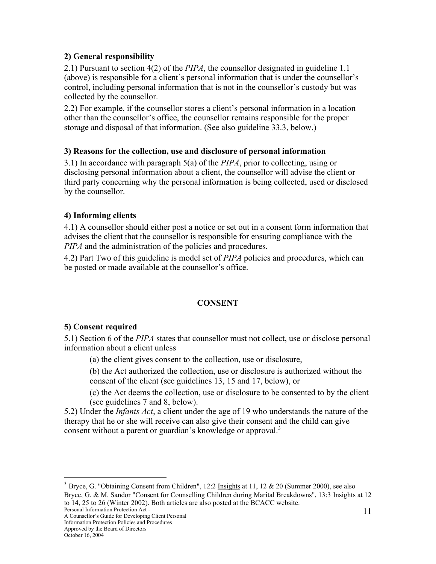#### **2) General responsibility**

2.1) Pursuant to section 4(2) of the *PIPA*, the counsellor designated in guideline 1.1 (above) is responsible for a client's personal information that is under the counsellor's control, including personal information that is not in the counsellor's custody but was collected by the counsellor.

2.2) For example, if the counsellor stores a client's personal information in a location other than the counsellor's office, the counsellor remains responsible for the proper storage and disposal of that information. (See also guideline 33.3, below.)

#### **3) Reasons for the collection, use and disclosure of personal information**

3.1) In accordance with paragraph 5(a) of the *PIPA*, prior to collecting, using or disclosing personal information about a client, the counsellor will advise the client or third party concerning why the personal information is being collected, used or disclosed by the counsellor.

## **4) Informing clients**

4.1) A counsellor should either post a notice or set out in a consent form information that advises the client that the counsellor is responsible for ensuring compliance with the *PIPA* and the administration of the policies and procedures.

4.2) Part Two of this guideline is model set of *PIPA* policies and procedures, which can be posted or made available at the counsellor's office.

## **CONSENT**

#### **5) Consent required**

5.1) Section 6 of the *PIPA* states that counsellor must not collect, use or disclose personal information about a client unless

(a) the client gives consent to the collection, use or disclosure,

(b) the Act authorized the collection, use or disclosure is authorized without the consent of the client (see guidelines 13, 15 and 17, below), or

(c) the Act deems the collection, use or disclosure to be consented to by the client (see guidelines 7 and 8, below).

5.2) Under the *Infants Act*, a client under the age of 19 who understands the nature of the therapy that he or she will receive can also give their consent and the child can give consent without a parent or guardian's knowledge or approval.<sup>3</sup>

<sup>&</sup>lt;sup>3</sup> Bryce, G. "Obtaining Consent from Children", 12:2 Insights at 11, 12 & 20 (Summer 2000), see also Bryce, G. & M. Sandor "Consent for Counselling Children during Marital Breakdowns", 13:3 Insights at 12 to 14, 25 to 26 (Winter 2002). Both articles are also posted at the BCACC website.

Personal Information Protection Act - A Counsellor's Guide for Developing Client Personal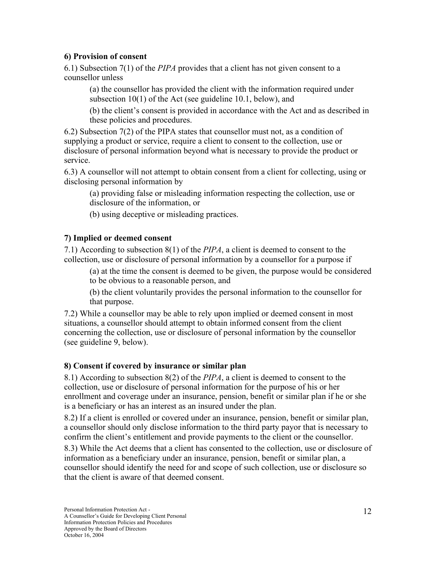#### **6) Provision of consent**

6.1) Subsection 7(1) of the *PIPA* provides that a client has not given consent to a counsellor unless

(a) the counsellor has provided the client with the information required under subsection 10(1) of the Act (see guideline 10.1, below), and

(b) the client's consent is provided in accordance with the Act and as described in these policies and procedures.

6.2) Subsection 7(2) of the PIPA states that counsellor must not, as a condition of supplying a product or service, require a client to consent to the collection, use or disclosure of personal information beyond what is necessary to provide the product or service.

6.3) A counsellor will not attempt to obtain consent from a client for collecting, using or disclosing personal information by

(a) providing false or misleading information respecting the collection, use or disclosure of the information, or

(b) using deceptive or misleading practices.

## **7) Implied or deemed consent**

7.1) According to subsection 8(1) of the *PIPA*, a client is deemed to consent to the collection, use or disclosure of personal information by a counsellor for a purpose if

(a) at the time the consent is deemed to be given, the purpose would be considered to be obvious to a reasonable person, and

(b) the client voluntarily provides the personal information to the counsellor for that purpose.

7.2) While a counsellor may be able to rely upon implied or deemed consent in most situations, a counsellor should attempt to obtain informed consent from the client concerning the collection, use or disclosure of personal information by the counsellor (see guideline 9, below).

## **8) Consent if covered by insurance or similar plan**

8.1) According to subsection 8(2) of the *PIPA*, a client is deemed to consent to the collection, use or disclosure of personal information for the purpose of his or her enrollment and coverage under an insurance, pension, benefit or similar plan if he or she is a beneficiary or has an interest as an insured under the plan.

8.2) If a client is enrolled or covered under an insurance, pension, benefit or similar plan, a counsellor should only disclose information to the third party payor that is necessary to confirm the client's entitlement and provide payments to the client or the counsellor.

8.3) While the Act deems that a client has consented to the collection, use or disclosure of information as a beneficiary under an insurance, pension, benefit or similar plan, a counsellor should identify the need for and scope of such collection, use or disclosure so that the client is aware of that deemed consent.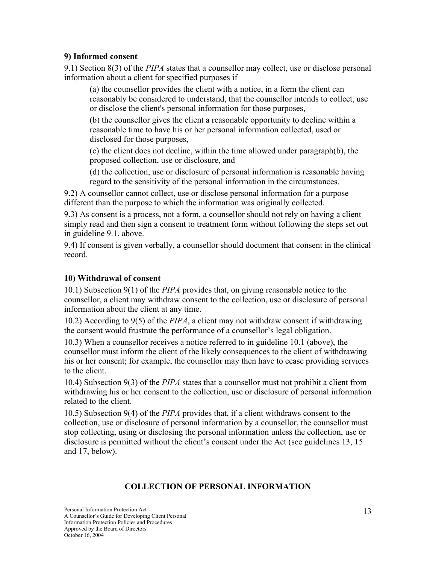#### **9) Informed consent**

9.1) Section 8(3) of the *PIPA* states that a counsellor may collect, use or disclose personal information about a client for specified purposes if

(a) the counsellor provides the client with a notice, in a form the client can reasonably be considered to understand, that the counsellor intends to collect, use or disclose the client's personal information for those purposes,

(b) the counsellor gives the client a reasonable opportunity to decline within a reasonable time to have his or her personal information collected, used or disclosed for those purposes,

(c) the client does not decline, within the time allowed under paragraph(b), the proposed collection, use or disclosure, and

(d) the collection, use or disclosure of personal information is reasonable having regard to the sensitivity of the personal information in the circumstances.

9.2) A counsellor cannot collect, use or disclose personal information for a purpose different than the purpose to which the information was originally collected.

9.3) As consent is a process, not a form, a counsellor should not rely on having a client simply read and then sign a consent to treatment form without following the steps set out in guideline 9.1, above.

9.4) If consent is given verbally, a counsellor should document that consent in the clinical record.

#### **10) Withdrawal of consent**

10.1) Subsection 9(1) of the *PIPA* provides that, on giving reasonable notice to the counsellor, a client may withdraw consent to the collection, use or disclosure of personal information about the client at any time.

10.2) According to 9(5) of the *PIPA*, a client may not withdraw consent if withdrawing the consent would frustrate the performance of a counsellor's legal obligation.

10.3) When a counsellor receives a notice referred to in guideline 10.1 (above), the counsellor must inform the client of the likely consequences to the client of withdrawing his or her consent; for example, the counsellor may then have to cease providing services to the client.

10.4) Subsection 9(3) of the *PIPA* states that a counsellor must not prohibit a client from withdrawing his or her consent to the collection, use or disclosure of personal information related to the client.

10.5) Subsection 9(4) of the *PIPA* provides that, if a client withdraws consent to the collection, use or disclosure of personal information by a counsellor, the counsellor must stop collecting, using or disclosing the personal information unless the collection, use or disclosure is permitted without the client's consent under the Act (see guidelines 13, 15 and 17, below).

## **COLLECTION OF PERSONAL INFORMATION**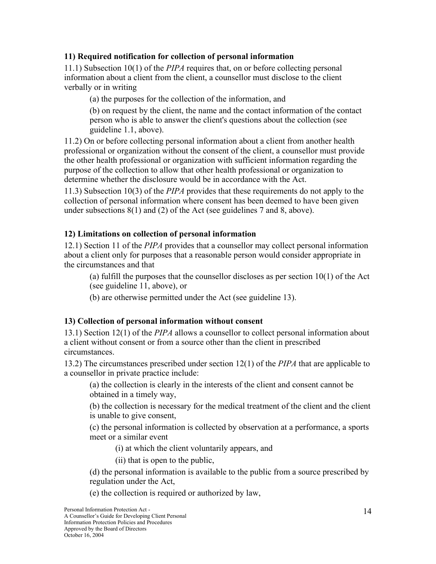#### **11) Required notification for collection of personal information**

11.1) Subsection 10(1) of the *PIPA* requires that, on or before collecting personal information about a client from the client, a counsellor must disclose to the client verbally or in writing

(a) the purposes for the collection of the information, and

(b) on request by the client, the name and the contact information of the contact person who is able to answer the client's questions about the collection (see guideline 1.1, above).

11.2) On or before collecting personal information about a client from another health professional or organization without the consent of the client, a counsellor must provide the other health professional or organization with sufficient information regarding the purpose of the collection to allow that other health professional or organization to determine whether the disclosure would be in accordance with the Act.

11.3) Subsection 10(3) of the *PIPA* provides that these requirements do not apply to the collection of personal information where consent has been deemed to have been given under subsections 8(1) and (2) of the Act (see guidelines 7 and 8, above).

## **12) Limitations on collection of personal information**

12.1) Section 11 of the *PIPA* provides that a counsellor may collect personal information about a client only for purposes that a reasonable person would consider appropriate in the circumstances and that

(a) fulfill the purposes that the counsellor discloses as per section 10(1) of the Act (see guideline 11, above), or

(b) are otherwise permitted under the Act (see guideline 13).

## **13) Collection of personal information without consent**

13.1) Section 12(1) of the *PIPA* allows a counsellor to collect personal information about a client without consent or from a source other than the client in prescribed circumstances.

13.2) The circumstances prescribed under section 12(1) of the *PIPA* that are applicable to a counsellor in private practice include:

(a) the collection is clearly in the interests of the client and consent cannot be obtained in a timely way,

(b) the collection is necessary for the medical treatment of the client and the client is unable to give consent,

(c) the personal information is collected by observation at a performance, a sports meet or a similar event

(i) at which the client voluntarily appears, and

(ii) that is open to the public,

(d) the personal information is available to the public from a source prescribed by regulation under the Act,

(e) the collection is required or authorized by law,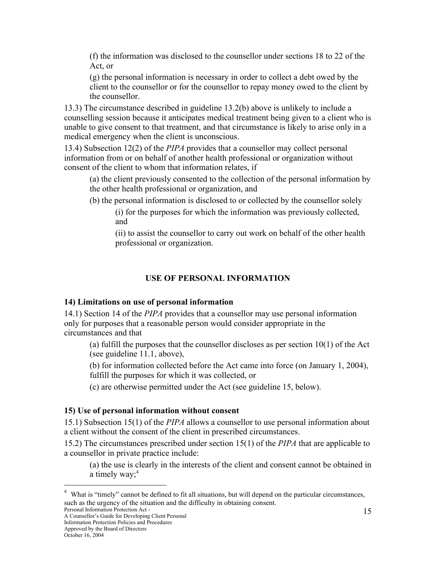(f) the information was disclosed to the counsellor under sections 18 to 22 of the Act, or

(g) the personal information is necessary in order to collect a debt owed by the client to the counsellor or for the counsellor to repay money owed to the client by the counsellor.

13.3) The circumstance described in guideline 13.2(b) above is unlikely to include a counselling session because it anticipates medical treatment being given to a client who is unable to give consent to that treatment, and that circumstance is likely to arise only in a medical emergency when the client is unconscious.

13.4) Subsection 12(2) of the *PIPA* provides that a counsellor may collect personal information from or on behalf of another health professional or organization without consent of the client to whom that information relates, if

(a) the client previously consented to the collection of the personal information by the other health professional or organization, and

(b) the personal information is disclosed to or collected by the counsellor solely

(i) for the purposes for which the information was previously collected, and

(ii) to assist the counsellor to carry out work on behalf of the other health professional or organization.

#### **USE OF PERSONAL INFORMATION**

#### **14) Limitations on use of personal information**

14.1) Section 14 of the *PIPA* provides that a counsellor may use personal information only for purposes that a reasonable person would consider appropriate in the circumstances and that

(a) fulfill the purposes that the counsellor discloses as per section 10(1) of the Act (see guideline 11.1, above),

(b) for information collected before the Act came into force (on January 1, 2004), fulfill the purposes for which it was collected, or

(c) are otherwise permitted under the Act (see guideline 15, below).

#### **15) Use of personal information without consent**

15.1) Subsection 15(1) of the *PIPA* allows a counsellor to use personal information about a client without the consent of the client in prescribed circumstances.

15.2) The circumstances prescribed under section 15(1) of the *PIPA* that are applicable to a counsellor in private practice include:

(a) the use is clearly in the interests of the client and consent cannot be obtained in a timely way; $4$ 

<sup>4</sup> What is "timely" cannot be defined to fit all situations, but will depend on the particular circumstances, such as the urgency of the situation and the difficulty in obtaining consent.

Personal Information Protection Act - A Counsellor's Guide for Developing Client Personal

Approved by the Board of Directors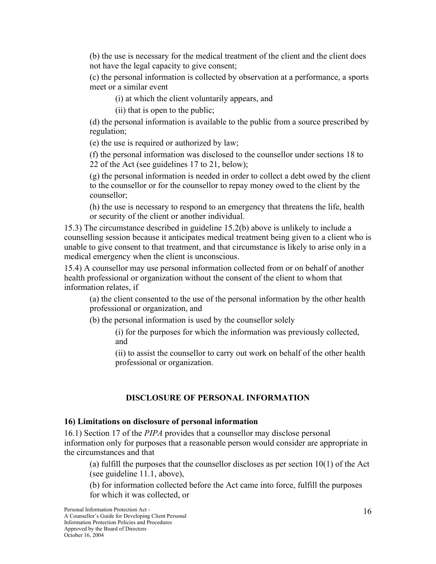(b) the use is necessary for the medical treatment of the client and the client does not have the legal capacity to give consent;

(c) the personal information is collected by observation at a performance, a sports meet or a similar event

(i) at which the client voluntarily appears, and

(ii) that is open to the public;

(d) the personal information is available to the public from a source prescribed by regulation;

(e) the use is required or authorized by law;

(f) the personal information was disclosed to the counsellor under sections 18 to 22 of the Act (see guidelines 17 to 21, below);

(g) the personal information is needed in order to collect a debt owed by the client to the counsellor or for the counsellor to repay money owed to the client by the counsellor;

(h) the use is necessary to respond to an emergency that threatens the life, health or security of the client or another individual.

15.3) The circumstance described in guideline 15.2(b) above is unlikely to include a counselling session because it anticipates medical treatment being given to a client who is unable to give consent to that treatment, and that circumstance is likely to arise only in a medical emergency when the client is unconscious.

15.4) A counsellor may use personal information collected from or on behalf of another health professional or organization without the consent of the client to whom that information relates, if

(a) the client consented to the use of the personal information by the other health professional or organization, and

(b) the personal information is used by the counsellor solely

(i) for the purposes for which the information was previously collected, and

(ii) to assist the counsellor to carry out work on behalf of the other health professional or organization.

## **DISCLOSURE OF PERSONAL INFORMATION**

#### **16) Limitations on disclosure of personal information**

16.1) Section 17 of the *PIPA* provides that a counsellor may disclose personal information only for purposes that a reasonable person would consider are appropriate in the circumstances and that

(a) fulfill the purposes that the counsellor discloses as per section 10(1) of the Act (see guideline 11.1, above),

(b) for information collected before the Act came into force, fulfill the purposes for which it was collected, or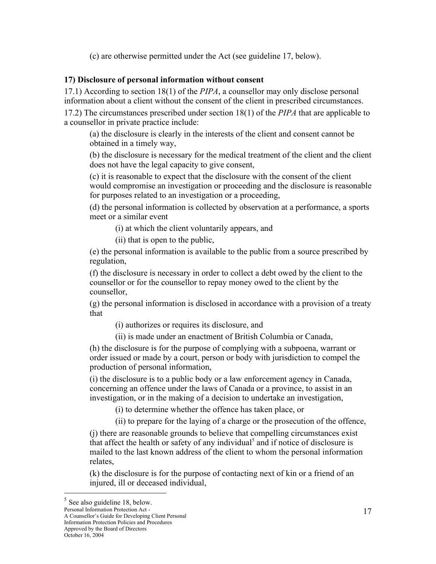(c) are otherwise permitted under the Act (see guideline 17, below).

#### **17) Disclosure of personal information without consent**

17.1) According to section 18(1) of the *PIPA*, a counsellor may only disclose personal information about a client without the consent of the client in prescribed circumstances.

17.2) The circumstances prescribed under section 18(1) of the *PIPA* that are applicable to a counsellor in private practice include:

(a) the disclosure is clearly in the interests of the client and consent cannot be obtained in a timely way,

(b) the disclosure is necessary for the medical treatment of the client and the client does not have the legal capacity to give consent,

(c) it is reasonable to expect that the disclosure with the consent of the client would compromise an investigation or proceeding and the disclosure is reasonable for purposes related to an investigation or a proceeding,

(d) the personal information is collected by observation at a performance, a sports meet or a similar event

(i) at which the client voluntarily appears, and

(ii) that is open to the public,

(e) the personal information is available to the public from a source prescribed by regulation,

(f) the disclosure is necessary in order to collect a debt owed by the client to the counsellor or for the counsellor to repay money owed to the client by the counsellor,

(g) the personal information is disclosed in accordance with a provision of a treaty that

(i) authorizes or requires its disclosure, and

(ii) is made under an enactment of British Columbia or Canada,

(h) the disclosure is for the purpose of complying with a subpoena, warrant or order issued or made by a court, person or body with jurisdiction to compel the production of personal information,

(i) the disclosure is to a public body or a law enforcement agency in Canada, concerning an offence under the laws of Canada or a province, to assist in an investigation, or in the making of a decision to undertake an investigation,

(i) to determine whether the offence has taken place, or

(ii) to prepare for the laying of a charge or the prosecution of the offence,

(j) there are reasonable grounds to believe that compelling circumstances exist that affect the health or safety of any individual<sup>5</sup> and if notice of disclosure is mailed to the last known address of the client to whom the personal information relates,

(k) the disclosure is for the purpose of contacting next of kin or a friend of an injured, ill or deceased individual,

A Counsellor's Guide for Developing Client Personal Information Protection Policies and Procedures

Personal Information Protection Act -

Approved by the Board of Directors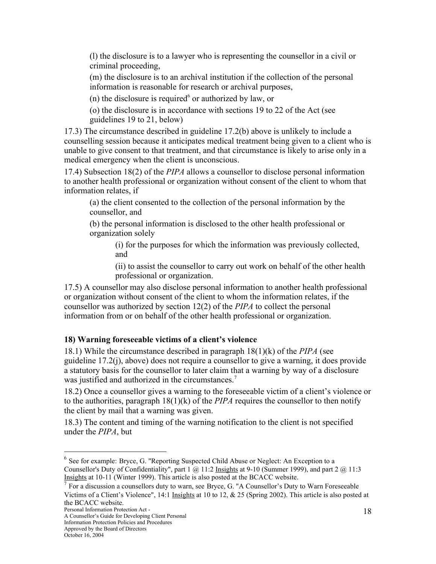(l) the disclosure is to a lawyer who is representing the counsellor in a civil or criminal proceeding,

(m) the disclosure is to an archival institution if the collection of the personal information is reasonable for research or archival purposes,

(n) the disclosure is required $6$  or authorized by law, or

(o) the disclosure is in accordance with sections 19 to 22 of the Act (see guidelines 19 to 21, below)

17.3) The circumstance described in guideline 17.2(b) above is unlikely to include a counselling session because it anticipates medical treatment being given to a client who is unable to give consent to that treatment, and that circumstance is likely to arise only in a medical emergency when the client is unconscious.

17.4) Subsection 18(2) of the *PIPA* allows a counsellor to disclose personal information to another health professional or organization without consent of the client to whom that information relates, if

(a) the client consented to the collection of the personal information by the counsellor, and

(b) the personal information is disclosed to the other health professional or organization solely

(i) for the purposes for which the information was previously collected, and

(ii) to assist the counsellor to carry out work on behalf of the other health professional or organization.

17.5) A counsellor may also disclose personal information to another health professional or organization without consent of the client to whom the information relates, if the counsellor was authorized by section 12(2) of the *PIPA* to collect the personal information from or on behalf of the other health professional or organization.

## **18) Warning foreseeable victims of a client's violence**

18.1) While the circumstance described in paragraph 18(1)(k) of the *PIPA* (see guideline 17.2(j), above) does not require a counsellor to give a warning, it does provide a statutory basis for the counsellor to later claim that a warning by way of a disclosure was justified and authorized in the circumstances.<sup>7</sup>

18.2) Once a counsellor gives a warning to the foreseeable victim of a client's violence or to the authorities, paragraph 18(1)(k) of the *PIPA* requires the counsellor to then notify the client by mail that a warning was given.

18.3) The content and timing of the warning notification to the client is not specified under the *PIPA*, but

<sup>&</sup>lt;sup>6</sup> See for example: Bryce, G. "Reporting Suspected Child Abuse or Neglect: An Exception to a Counsellor's Duty of Confidentiality", part 1 @ 11:2 Insights at 9-10 (Summer 1999), and part 2 @ 11:3 Insights at 10-11 (Winter 1999). This article is also posted at the BCACC website.<br><sup>7</sup> Ean a discussion a souncellars duty to warm as a Pruse G. "A Gouncellar's Duty

For a discussion a counsellors duty to warn, see Bryce, G. "A Counsellor's Duty to Warn Foreseeable Victims of a Client's Violence", 14:1 Insights at 10 to 12, & 25 (Spring 2002). This article is also posted at the BCACC website.

Personal Information Protection Act - A Counsellor's Guide for Developing Client Personal

Information Protection Policies and Procedures

Approved by the Board of Directors

October 16, 2004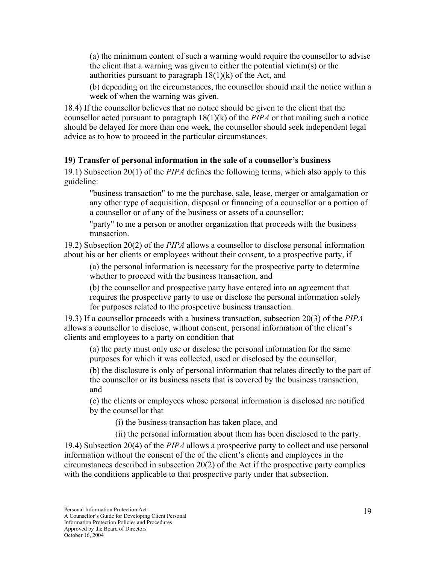(a) the minimum content of such a warning would require the counsellor to advise the client that a warning was given to either the potential victim(s) or the authorities pursuant to paragraph  $18(1)(k)$  of the Act, and

(b) depending on the circumstances, the counsellor should mail the notice within a week of when the warning was given.

18.4) If the counsellor believes that no notice should be given to the client that the counsellor acted pursuant to paragraph 18(1)(k) of the *PIPA* or that mailing such a notice should be delayed for more than one week, the counsellor should seek independent legal advice as to how to proceed in the particular circumstances.

#### **19) Transfer of personal information in the sale of a counsellor's business**

19.1) Subsection 20(1) of the *PIPA* defines the following terms, which also apply to this guideline:

"business transaction" to me the purchase, sale, lease, merger or amalgamation or any other type of acquisition, disposal or financing of a counsellor or a portion of a counsellor or of any of the business or assets of a counsellor;

"party" to me a person or another organization that proceeds with the business transaction.

19.2) Subsection 20(2) of the *PIPA* allows a counsellor to disclose personal information about his or her clients or employees without their consent, to a prospective party, if

(a) the personal information is necessary for the prospective party to determine whether to proceed with the business transaction, and

(b) the counsellor and prospective party have entered into an agreement that requires the prospective party to use or disclose the personal information solely for purposes related to the prospective business transaction.

19.3) If a counsellor proceeds with a business transaction, subsection 20(3) of the *PIPA* allows a counsellor to disclose, without consent, personal information of the client's clients and employees to a party on condition that

(a) the party must only use or disclose the personal information for the same purposes for which it was collected, used or disclosed by the counsellor,

(b) the disclosure is only of personal information that relates directly to the part of the counsellor or its business assets that is covered by the business transaction, and

(c) the clients or employees whose personal information is disclosed are notified by the counsellor that

(i) the business transaction has taken place, and

(ii) the personal information about them has been disclosed to the party.

19.4) Subsection 20(4) of the *PIPA* allows a prospective party to collect and use personal information without the consent of the of the client's clients and employees in the circumstances described in subsection 20(2) of the Act if the prospective party complies with the conditions applicable to that prospective party under that subsection.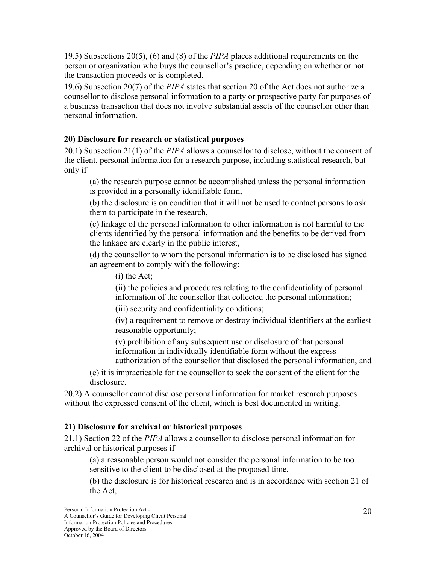19.5) Subsections 20(5), (6) and (8) of the *PIPA* places additional requirements on the person or organization who buys the counsellor's practice, depending on whether or not the transaction proceeds or is completed.

19.6) Subsection 20(7) of the *PIPA* states that section 20 of the Act does not authorize a counsellor to disclose personal information to a party or prospective party for purposes of a business transaction that does not involve substantial assets of the counsellor other than personal information.

#### **20) Disclosure for research or statistical purposes**

20.1) Subsection 21(1) of the *PIPA* allows a counsellor to disclose, without the consent of the client, personal information for a research purpose, including statistical research, but only if

(a) the research purpose cannot be accomplished unless the personal information is provided in a personally identifiable form,

(b) the disclosure is on condition that it will not be used to contact persons to ask them to participate in the research,

(c) linkage of the personal information to other information is not harmful to the clients identified by the personal information and the benefits to be derived from the linkage are clearly in the public interest,

(d) the counsellor to whom the personal information is to be disclosed has signed an agreement to comply with the following:

(i) the Act;

(ii) the policies and procedures relating to the confidentiality of personal information of the counsellor that collected the personal information;

(iii) security and confidentiality conditions;

(iv) a requirement to remove or destroy individual identifiers at the earliest reasonable opportunity;

(v) prohibition of any subsequent use or disclosure of that personal information in individually identifiable form without the express authorization of the counsellor that disclosed the personal information, and

(e) it is impracticable for the counsellor to seek the consent of the client for the disclosure.

20.2) A counsellor cannot disclose personal information for market research purposes without the expressed consent of the client, which is best documented in writing.

## **21) Disclosure for archival or historical purposes**

21.1) Section 22 of the *PIPA* allows a counsellor to disclose personal information for archival or historical purposes if

(a) a reasonable person would not consider the personal information to be too sensitive to the client to be disclosed at the proposed time,

(b) the disclosure is for historical research and is in accordance with section 21 of the Act,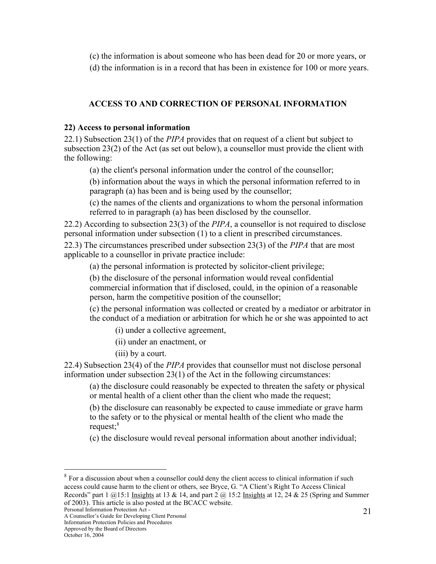(c) the information is about someone who has been dead for 20 or more years, or

(d) the information is in a record that has been in existence for 100 or more years.

## **ACCESS TO AND CORRECTION OF PERSONAL INFORMATION**

#### **22) Access to personal information**

22.1) Subsection 23(1) of the *PIPA* provides that on request of a client but subject to subsection 23(2) of the Act (as set out below), a counsellor must provide the client with the following:

(a) the client's personal information under the control of the counsellor;

(b) information about the ways in which the personal information referred to in paragraph (a) has been and is being used by the counsellor;

(c) the names of the clients and organizations to whom the personal information referred to in paragraph (a) has been disclosed by the counsellor.

22.2) According to subsection 23(3) of the *PIPA*, a counsellor is not required to disclose personal information under subsection (1) to a client in prescribed circumstances.

22.3) The circumstances prescribed under subsection 23(3) of the *PIPA* that are most applicable to a counsellor in private practice include:

(a) the personal information is protected by solicitor-client privilege;

(b) the disclosure of the personal information would reveal confidential commercial information that if disclosed, could, in the opinion of a reasonable person, harm the competitive position of the counsellor;

(c) the personal information was collected or created by a mediator or arbitrator in the conduct of a mediation or arbitration for which he or she was appointed to act

(i) under a collective agreement,

(ii) under an enactment, or

(iii) by a court.

22.4) Subsection 23(4) of the *PIPA* provides that counsellor must not disclose personal information under subsection 23(1) of the Act in the following circumstances:

(a) the disclosure could reasonably be expected to threaten the safety or physical or mental health of a client other than the client who made the request;

(b) the disclosure can reasonably be expected to cause immediate or grave harm to the safety or to the physical or mental health of the client who made the request: $8$ 

(c) the disclosure would reveal personal information about another individual;

 $8 \text{ For a discussion about when a causal or could deny the client access to clinical information if such.}$ access could cause harm to the client or others, see Bryce, G. "A Client's Right To Access Clinical Records" part  $1 \text{ (a)} 15:1$  Insights at  $13 \text{ \& } 14$ , and part  $2 \text{ (a)} 15:2$  Insights at  $12$ ,  $24 \text{ \& } 25$  (Spring and Summer of 2003). This article is also posted at the BCACC website.

Personal Information Protection Act -

A Counsellor's Guide for Developing Client Personal Information Protection Policies and Procedures

Approved by the Board of Directors

October 16, 2004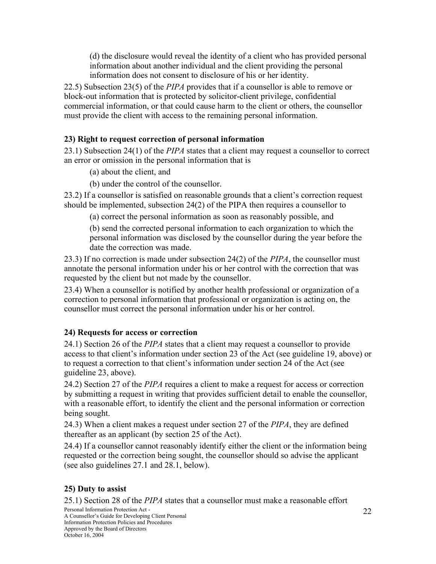(d) the disclosure would reveal the identity of a client who has provided personal information about another individual and the client providing the personal information does not consent to disclosure of his or her identity.

22.5) Subsection 23(5) of the *PIPA* provides that if a counsellor is able to remove or block-out information that is protected by solicitor-client privilege, confidential commercial information, or that could cause harm to the client or others, the counsellor must provide the client with access to the remaining personal information.

#### **23) Right to request correction of personal information**

23.1) Subsection 24(1) of the *PIPA* states that a client may request a counsellor to correct an error or omission in the personal information that is

- (a) about the client, and
- (b) under the control of the counsellor.

23.2) If a counsellor is satisfied on reasonable grounds that a client's correction request should be implemented, subsection 24(2) of the PIPA then requires a counsellor to

(a) correct the personal information as soon as reasonably possible, and

(b) send the corrected personal information to each organization to which the personal information was disclosed by the counsellor during the year before the date the correction was made.

23.3) If no correction is made under subsection 24(2) of the *PIPA*, the counsellor must annotate the personal information under his or her control with the correction that was requested by the client but not made by the counsellor.

23.4) When a counsellor is notified by another health professional or organization of a correction to personal information that professional or organization is acting on, the counsellor must correct the personal information under his or her control.

## **24) Requests for access or correction**

24.1) Section 26 of the *PIPA* states that a client may request a counsellor to provide access to that client's information under section 23 of the Act (see guideline 19, above) or to request a correction to that client's information under section 24 of the Act (see guideline 23, above).

24.2) Section 27 of the *PIPA* requires a client to make a request for access or correction by submitting a request in writing that provides sufficient detail to enable the counsellor, with a reasonable effort, to identify the client and the personal information or correction being sought.

24.3) When a client makes a request under section 27 of the *PIPA*, they are defined thereafter as an applicant (by section 25 of the Act).

24.4) If a counsellor cannot reasonably identify either the client or the information being requested or the correction being sought, the counsellor should so advise the applicant (see also guidelines 27.1 and 28.1, below).

#### **25) Duty to assist**

25.1) Section 28 of the *PIPA* states that a counsellor must make a reasonable effort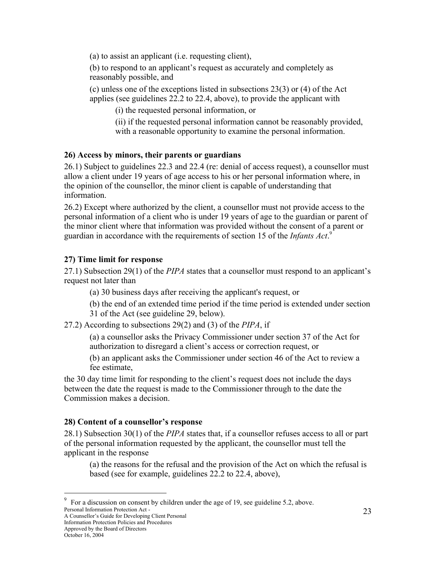(a) to assist an applicant (i.e. requesting client),

(b) to respond to an applicant's request as accurately and completely as reasonably possible, and

(c) unless one of the exceptions listed in subsections 23(3) or (4) of the Act applies (see guidelines 22.2 to 22.4, above), to provide the applicant with

(i) the requested personal information, or

(ii) if the requested personal information cannot be reasonably provided, with a reasonable opportunity to examine the personal information.

#### **26) Access by minors, their parents or guardians**

26.1) Subject to guidelines 22.3 and 22.4 (re: denial of access request), a counsellor must allow a client under 19 years of age access to his or her personal information where, in the opinion of the counsellor, the minor client is capable of understanding that information.

26.2) Except where authorized by the client, a counsellor must not provide access to the personal information of a client who is under 19 years of age to the guardian or parent of the minor client where that information was provided without the consent of a parent or guardian in accordance with the requirements of section 15 of the *Infants Act*. 9

#### **27) Time limit for response**

27.1) Subsection 29(1) of the *PIPA* states that a counsellor must respond to an applicant's request not later than

(a) 30 business days after receiving the applicant's request, or

(b) the end of an extended time period if the time period is extended under section 31 of the Act (see guideline 29, below).

27.2) According to subsections 29(2) and (3) of the *PIPA*, if

(a) a counsellor asks the Privacy Commissioner under section 37 of the Act for authorization to disregard a client's access or correction request, or

(b) an applicant asks the Commissioner under section 46 of the Act to review a fee estimate,

the 30 day time limit for responding to the client's request does not include the days between the date the request is made to the Commissioner through to the date the Commission makes a decision.

## **28) Content of a counsellor's response**

28.1) Subsection 30(1) of the *PIPA* states that, if a counsellor refuses access to all or part of the personal information requested by the applicant, the counsellor must tell the applicant in the response

(a) the reasons for the refusal and the provision of the Act on which the refusal is based (see for example, guidelines 22.2 to 22.4, above),

A Counsellor's Guide for Developing Client Personal

Personal Information Protection Act - 9 For a discussion on consent by children under the age of 19, see guideline 5.2, above.

Information Protection Policies and Procedures Approved by the Board of Directors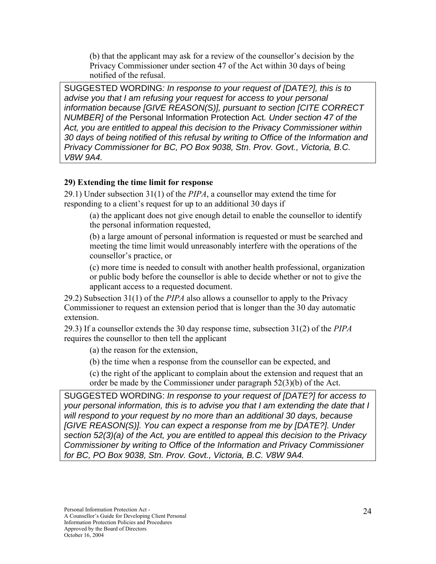(b) that the applicant may ask for a review of the counsellor's decision by the Privacy Commissioner under section 47 of the Act within 30 days of being notified of the refusal.

SUGGESTED WORDING*: In response to your request of [DATE?], this is to advise you that I am refusing your request for access to your personal information because [GIVE REASON(S)], pursuant to section [CITE CORRECT NUMBER] of the* Personal Information Protection Act*. Under section 47 of the Act, you are entitled to appeal this decision to the Privacy Commissioner within 30 days of being notified of this refusal by writing to Office of the Information and Privacy Commissioner for BC, PO Box 9038, Stn. Prov. Govt., Victoria, B.C. V8W 9A4.* 

#### **29) Extending the time limit for response**

29.1) Under subsection 31(1) of the *PIPA*, a counsellor may extend the time for responding to a client's request for up to an additional 30 days if

(a) the applicant does not give enough detail to enable the counsellor to identify the personal information requested,

(b) a large amount of personal information is requested or must be searched and meeting the time limit would unreasonably interfere with the operations of the counsellor's practice, or

(c) more time is needed to consult with another health professional, organization or public body before the counsellor is able to decide whether or not to give the applicant access to a requested document.

29.2) Subsection 31(1) of the *PIPA* also allows a counsellor to apply to the Privacy Commissioner to request an extension period that is longer than the 30 day automatic extension.

29.3) If a counsellor extends the 30 day response time, subsection 31(2) of the *PIPA* requires the counsellor to then tell the applicant

(a) the reason for the extension,

(b) the time when a response from the counsellor can be expected, and

(c) the right of the applicant to complain about the extension and request that an order be made by the Commissioner under paragraph 52(3)(b) of the Act.

SUGGESTED WORDING: *In response to your request of [DATE?] for access to your personal information, this is to advise you that I am extending the date that I will respond to your request by no more than an additional 30 days, because [GIVE REASON(S)]. You can expect a response from me by [DATE?]. Under section 52(3)(a) of the Act, you are entitled to appeal this decision to the Privacy Commissioner by writing to Office of the Information and Privacy Commissioner for BC, PO Box 9038, Stn. Prov. Govt., Victoria, B.C. V8W 9A4.*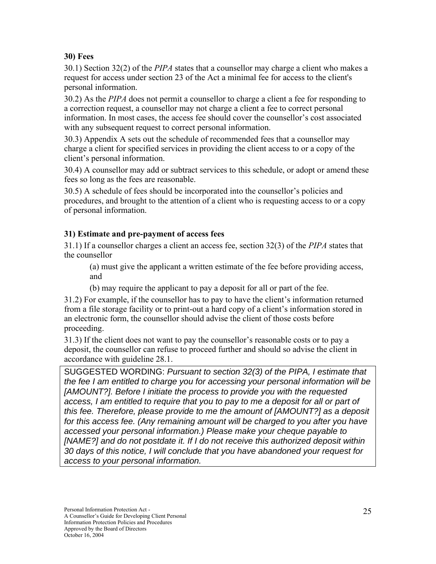### **30) Fees**

30.1) Section 32(2) of the *PIPA* states that a counsellor may charge a client who makes a request for access under section 23 of the Act a minimal fee for access to the client's personal information.

30.2) As the *PIPA* does not permit a counsellor to charge a client a fee for responding to a correction request, a counsellor may not charge a client a fee to correct personal information. In most cases, the access fee should cover the counsellor's cost associated with any subsequent request to correct personal information.

30.3) Appendix A sets out the schedule of recommended fees that a counsellor may charge a client for specified services in providing the client access to or a copy of the client's personal information.

30.4) A counsellor may add or subtract services to this schedule, or adopt or amend these fees so long as the fees are reasonable.

30.5) A schedule of fees should be incorporated into the counsellor's policies and procedures, and brought to the attention of a client who is requesting access to or a copy of personal information.

#### **31) Estimate and pre-payment of access fees**

31.1) If a counsellor charges a client an access fee, section 32(3) of the *PIPA* states that the counsellor

(a) must give the applicant a written estimate of the fee before providing access, and

(b) may require the applicant to pay a deposit for all or part of the fee.

31.2) For example, if the counsellor has to pay to have the client's information returned from a file storage facility or to print-out a hard copy of a client's information stored in an electronic form, the counsellor should advise the client of those costs before proceeding.

31.3) If the client does not want to pay the counsellor's reasonable costs or to pay a deposit, the counsellor can refuse to proceed further and should so advise the client in accordance with guideline 28.1.

SUGGESTED WORDING: *Pursuant to section 32(3) of the PIPA, I estimate that the fee I am entitled to charge you for accessing your personal information will be [AMOUNT?]. Before I initiate the process to provide you with the requested access, I am entitled to require that you to pay to me a deposit for all or part of this fee. Therefore, please provide to me the amount of [AMOUNT?] as a deposit for this access fee. (Any remaining amount will be charged to you after you have accessed your personal information.) Please make your cheque payable to [NAME?] and do not postdate it. If I do not receive this authorized deposit within 30 days of this notice, I will conclude that you have abandoned your request for access to your personal information.*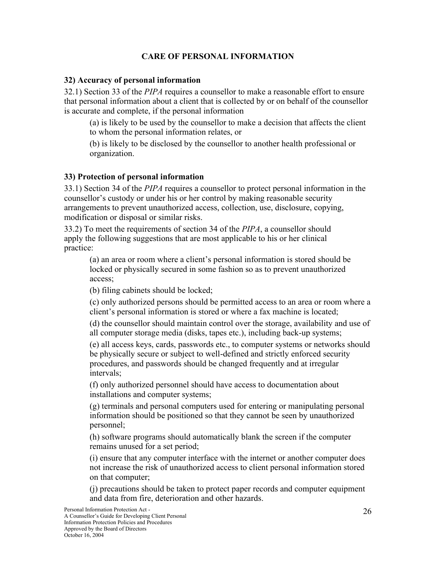## **CARE OF PERSONAL INFORMATION**

#### **32) Accuracy of personal information**

32.1) Section 33 of the *PIPA* requires a counsellor to make a reasonable effort to ensure that personal information about a client that is collected by or on behalf of the counsellor is accurate and complete, if the personal information

(a) is likely to be used by the counsellor to make a decision that affects the client to whom the personal information relates, or

(b) is likely to be disclosed by the counsellor to another health professional or organization.

#### **33) Protection of personal information**

33.1) Section 34 of the *PIPA* requires a counsellor to protect personal information in the counsellor's custody or under his or her control by making reasonable security arrangements to prevent unauthorized access, collection, use, disclosure, copying, modification or disposal or similar risks.

33.2) To meet the requirements of section 34 of the *PIPA*, a counsellor should apply the following suggestions that are most applicable to his or her clinical practice:

(a) an area or room where a client's personal information is stored should be locked or physically secured in some fashion so as to prevent unauthorized access;

(b) filing cabinets should be locked;

(c) only authorized persons should be permitted access to an area or room where a client's personal information is stored or where a fax machine is located;

(d) the counsellor should maintain control over the storage, availability and use of all computer storage media (disks, tapes etc.), including back-up systems;

(e) all access keys, cards, passwords etc., to computer systems or networks should be physically secure or subject to well-defined and strictly enforced security procedures, and passwords should be changed frequently and at irregular intervals;

(f) only authorized personnel should have access to documentation about installations and computer systems;

(g) terminals and personal computers used for entering or manipulating personal information should be positioned so that they cannot be seen by unauthorized personnel;

(h) software programs should automatically blank the screen if the computer remains unused for a set period;

(i) ensure that any computer interface with the internet or another computer does not increase the risk of unauthorized access to client personal information stored on that computer;

(j) precautions should be taken to protect paper records and computer equipment and data from fire, deterioration and other hazards.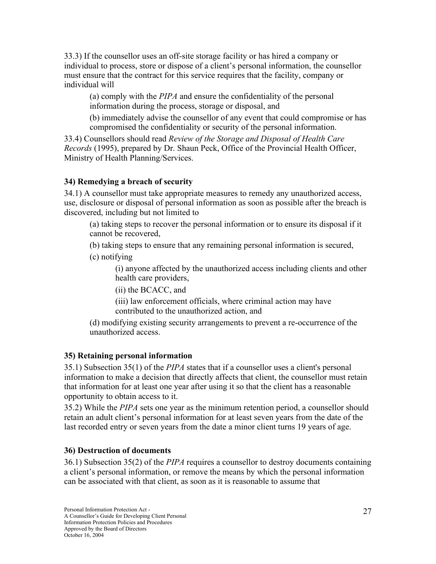33.3) If the counsellor uses an off-site storage facility or has hired a company or individual to process, store or dispose of a client's personal information, the counsellor must ensure that the contract for this service requires that the facility, company or individual will

(a) comply with the *PIPA* and ensure the confidentiality of the personal information during the process, storage or disposal, and

(b) immediately advise the counsellor of any event that could compromise or has compromised the confidentiality or security of the personal information.

33.4) Counsellors should read *Review of the Storage and Disposal of Health Care Records* (1995), prepared by Dr. Shaun Peck, Office of the Provincial Health Officer, Ministry of Health Planning/Services.

## **34) Remedying a breach of security**

34.1) A counsellor must take appropriate measures to remedy any unauthorized access, use, disclosure or disposal of personal information as soon as possible after the breach is discovered, including but not limited to

(a) taking steps to recover the personal information or to ensure its disposal if it cannot be recovered,

(b) taking steps to ensure that any remaining personal information is secured,

(c) notifying

(i) anyone affected by the unauthorized access including clients and other health care providers,

(ii) the BCACC, and

(iii) law enforcement officials, where criminal action may have contributed to the unauthorized action, and

(d) modifying existing security arrangements to prevent a re-occurrence of the unauthorized access.

## **35) Retaining personal information**

35.1) Subsection 35(1) of the *PIPA* states that if a counsellor uses a client's personal information to make a decision that directly affects that client, the counsellor must retain that information for at least one year after using it so that the client has a reasonable opportunity to obtain access to it.

35.2) While the *PIPA* sets one year as the minimum retention period, a counsellor should retain an adult client's personal information for at least seven years from the date of the last recorded entry or seven years from the date a minor client turns 19 years of age.

## **36) Destruction of documents**

36.1) Subsection 35(2) of the *PIPA* requires a counsellor to destroy documents containing a client's personal information, or remove the means by which the personal information can be associated with that client, as soon as it is reasonable to assume that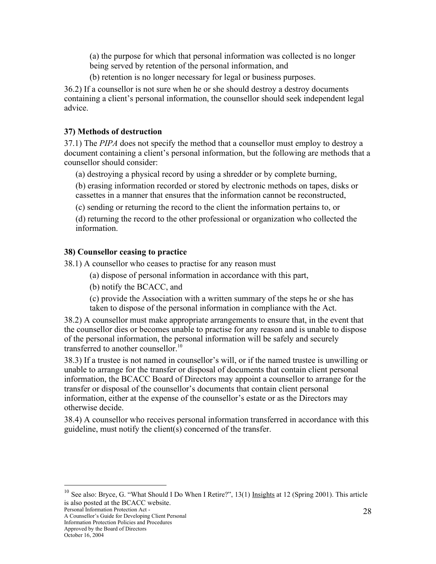(a) the purpose for which that personal information was collected is no longer being served by retention of the personal information, and

(b) retention is no longer necessary for legal or business purposes.

36.2) If a counsellor is not sure when he or she should destroy a destroy documents containing a client's personal information, the counsellor should seek independent legal advice.

#### **37) Methods of destruction**

37.1) The *PIPA* does not specify the method that a counsellor must employ to destroy a document containing a client's personal information, but the following are methods that a counsellor should consider:

(a) destroying a physical record by using a shredder or by complete burning,

(b) erasing information recorded or stored by electronic methods on tapes, disks or cassettes in a manner that ensures that the information cannot be reconstructed,

(c) sending or returning the record to the client the information pertains to, or

(d) returning the record to the other professional or organization who collected the information.

## **38) Counsellor ceasing to practice**

38.1) A counsellor who ceases to practise for any reason must

- (a) dispose of personal information in accordance with this part,
- (b) notify the BCACC, and

(c) provide the Association with a written summary of the steps he or she has taken to dispose of the personal information in compliance with the Act.

38.2) A counsellor must make appropriate arrangements to ensure that, in the event that the counsellor dies or becomes unable to practise for any reason and is unable to dispose of the personal information, the personal information will be safely and securely transferred to another counsellor.<sup>10</sup>

38.3) If a trustee is not named in counsellor's will, or if the named trustee is unwilling or unable to arrange for the transfer or disposal of documents that contain client personal information, the BCACC Board of Directors may appoint a counsellor to arrange for the transfer or disposal of the counsellor's documents that contain client personal information, either at the expense of the counsellor's estate or as the Directors may otherwise decide.

38.4) A counsellor who receives personal information transferred in accordance with this guideline, must notify the client(s) concerned of the transfer.

Personal Information Protection Act - A Counsellor's Guide for Developing Client Personal

Information Protection Policies and Procedures Approved by the Board of Directors

<sup>&</sup>lt;sup>10</sup> See also: Bryce, G. "What Should I Do When I Retire?", 13(1) Insights at 12 (Spring 2001). This article is also posted at the BCACC website.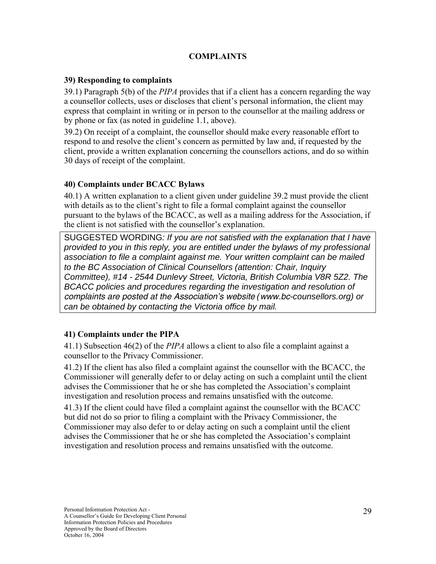## **COMPLAINTS**

#### **39) Responding to complaints**

39.1) Paragraph 5(b) of the *PIPA* provides that if a client has a concern regarding the way a counsellor collects, uses or discloses that client's personal information, the client may express that complaint in writing or in person to the counsellor at the mailing address or by phone or fax (as noted in guideline 1.1, above).

39.2) On receipt of a complaint, the counsellor should make every reasonable effort to respond to and resolve the client's concern as permitted by law and, if requested by the client, provide a written explanation concerning the counsellors actions, and do so within 30 days of receipt of the complaint.

#### **40) Complaints under BCACC Bylaws**

40.1) A written explanation to a client given under guideline 39.2 must provide the client with details as to the client's right to file a formal complaint against the counsellor pursuant to the bylaws of the BCACC, as well as a mailing address for the Association, if the client is not satisfied with the counsellor's explanation.

SUGGESTED WORDING*: If you are not satisfied with the explanation that I have provided to you in this reply, you are entitled under the bylaws of my professional association to file a complaint against me. Your written complaint can be mailed to the BC Association of Clinical Counsellors (attention: Chair, Inquiry Committee), #14 - 2544 Dunlevy Street, Victoria, British Columbia V8R 5Z2. The BCACC policies and procedures regarding the investigation and resolution of complaints are posted at the Association's website (www.bc-counsellors.org) or can be obtained by contacting the Victoria office by mail.* 

## **41) Complaints under the PIPA**

41.1) Subsection 46(2) of the *PIPA* allows a client to also file a complaint against a counsellor to the Privacy Commissioner.

41.2) If the client has also filed a complaint against the counsellor with the BCACC, the Commissioner will generally defer to or delay acting on such a complaint until the client advises the Commissioner that he or she has completed the Association's complaint investigation and resolution process and remains unsatisfied with the outcome.

41.3) If the client could have filed a complaint against the counsellor with the BCACC but did not do so prior to filing a complaint with the Privacy Commissioner, the Commissioner may also defer to or delay acting on such a complaint until the client advises the Commissioner that he or she has completed the Association's complaint investigation and resolution process and remains unsatisfied with the outcome.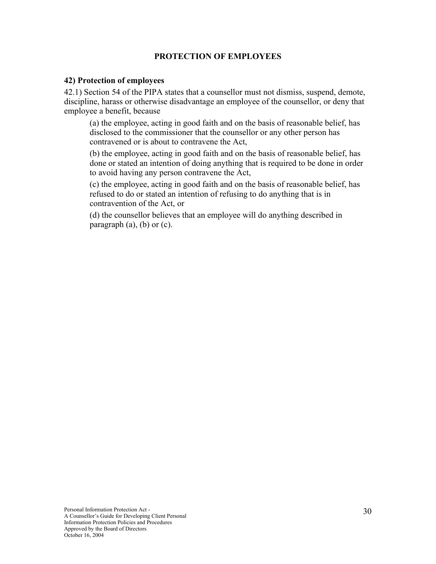#### **PROTECTION OF EMPLOYEES**

#### **42) Protection of employees**

42.1) Section 54 of the PIPA states that a counsellor must not dismiss, suspend, demote, discipline, harass or otherwise disadvantage an employee of the counsellor, or deny that employee a benefit, because

(a) the employee, acting in good faith and on the basis of reasonable belief, has disclosed to the commissioner that the counsellor or any other person has contravened or is about to contravene the Act,

(b) the employee, acting in good faith and on the basis of reasonable belief, has done or stated an intention of doing anything that is required to be done in order to avoid having any person contravene the Act,

(c) the employee, acting in good faith and on the basis of reasonable belief, has refused to do or stated an intention of refusing to do anything that is in contravention of the Act, or

(d) the counsellor believes that an employee will do anything described in paragraph  $(a)$ ,  $(b)$  or  $(c)$ .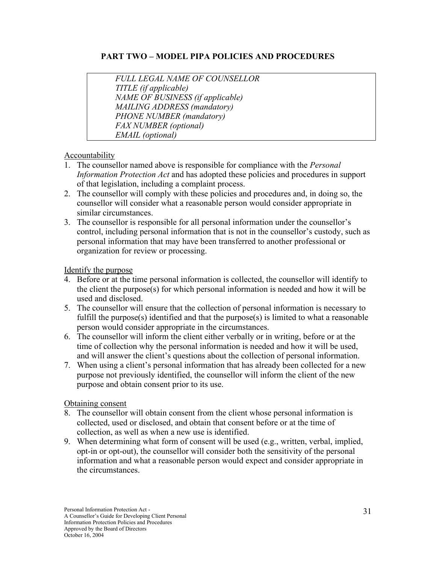#### **PART TWO – MODEL PIPA POLICIES AND PROCEDURES**

*FULL LEGAL NAME OF COUNSELLOR TITLE (if applicable) NAME OF BUSINESS (if applicable) MAILING ADDRESS (mandatory) PHONE NUMBER (mandatory) FAX NUMBER (optional) EMAIL (optional)*

#### **Accountability**

- 1. The counsellor named above is responsible for compliance with the *Personal Information Protection Act* and has adopted these policies and procedures in support of that legislation, including a complaint process.
- 2. The counsellor will comply with these policies and procedures and, in doing so, the counsellor will consider what a reasonable person would consider appropriate in similar circumstances.
- 3. The counsellor is responsible for all personal information under the counsellor's control, including personal information that is not in the counsellor's custody, such as personal information that may have been transferred to another professional or organization for review or processing.

Identify the purpose

- 4. Before or at the time personal information is collected, the counsellor will identify to the client the purpose(s) for which personal information is needed and how it will be used and disclosed.
- 5. The counsellor will ensure that the collection of personal information is necessary to fulfill the purpose(s) identified and that the purpose(s) is limited to what a reasonable person would consider appropriate in the circumstances.
- 6. The counsellor will inform the client either verbally or in writing, before or at the time of collection why the personal information is needed and how it will be used, and will answer the client's questions about the collection of personal information.
- 7. When using a client's personal information that has already been collected for a new purpose not previously identified, the counsellor will inform the client of the new purpose and obtain consent prior to its use.

#### Obtaining consent

- 8. The counsellor will obtain consent from the client whose personal information is collected, used or disclosed, and obtain that consent before or at the time of collection, as well as when a new use is identified.
- 9. When determining what form of consent will be used (e.g., written, verbal, implied, opt-in or opt-out), the counsellor will consider both the sensitivity of the personal information and what a reasonable person would expect and consider appropriate in the circumstances.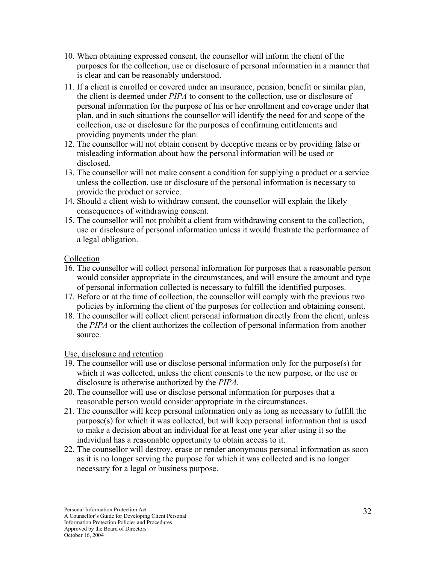- 10. When obtaining expressed consent, the counsellor will inform the client of the purposes for the collection, use or disclosure of personal information in a manner that is clear and can be reasonably understood.
- 11. If a client is enrolled or covered under an insurance, pension, benefit or similar plan, the client is deemed under *PIPA* to consent to the collection, use or disclosure of personal information for the purpose of his or her enrollment and coverage under that plan, and in such situations the counsellor will identify the need for and scope of the collection, use or disclosure for the purposes of confirming entitlements and providing payments under the plan.
- 12. The counsellor will not obtain consent by deceptive means or by providing false or misleading information about how the personal information will be used or disclosed.
- 13. The counsellor will not make consent a condition for supplying a product or a service unless the collection, use or disclosure of the personal information is necessary to provide the product or service.
- 14. Should a client wish to withdraw consent, the counsellor will explain the likely consequences of withdrawing consent.
- 15. The counsellor will not prohibit a client from withdrawing consent to the collection, use or disclosure of personal information unless it would frustrate the performance of a legal obligation.

#### Collection

- 16. The counsellor will collect personal information for purposes that a reasonable person would consider appropriate in the circumstances, and will ensure the amount and type of personal information collected is necessary to fulfill the identified purposes.
- 17. Before or at the time of collection, the counsellor will comply with the previous two policies by informing the client of the purposes for collection and obtaining consent.
- 18. The counsellor will collect client personal information directly from the client, unless the *PIPA* or the client authorizes the collection of personal information from another source.

#### Use, disclosure and retention

- 19. The counsellor will use or disclose personal information only for the purpose(s) for which it was collected, unless the client consents to the new purpose, or the use or disclosure is otherwise authorized by the *PIPA*.
- 20. The counsellor will use or disclose personal information for purposes that a reasonable person would consider appropriate in the circumstances.
- 21. The counsellor will keep personal information only as long as necessary to fulfill the purpose(s) for which it was collected, but will keep personal information that is used to make a decision about an individual for at least one year after using it so the individual has a reasonable opportunity to obtain access to it.
- 22. The counsellor will destroy, erase or render anonymous personal information as soon as it is no longer serving the purpose for which it was collected and is no longer necessary for a legal or business purpose.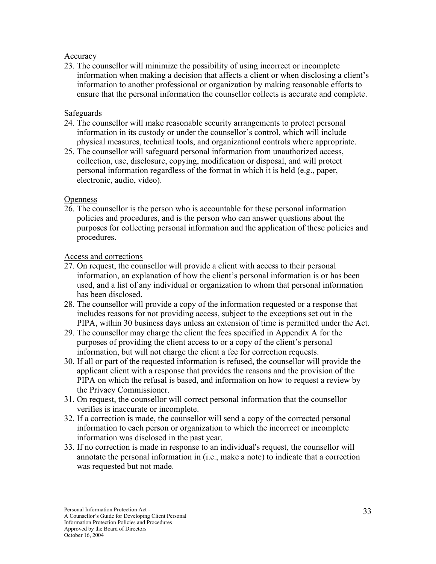#### Accuracy

23. The counsellor will minimize the possibility of using incorrect or incomplete information when making a decision that affects a client or when disclosing a client's information to another professional or organization by making reasonable efforts to ensure that the personal information the counsellor collects is accurate and complete.

#### Safeguards

- 24. The counsellor will make reasonable security arrangements to protect personal information in its custody or under the counsellor's control, which will include physical measures, technical tools, and organizational controls where appropriate.
- 25. The counsellor will safeguard personal information from unauthorized access, collection, use, disclosure, copying, modification or disposal, and will protect personal information regardless of the format in which it is held (e.g., paper, electronic, audio, video).

#### **Openness**

26. The counsellor is the person who is accountable for these personal information policies and procedures, and is the person who can answer questions about the purposes for collecting personal information and the application of these policies and procedures.

#### Access and corrections

- 27. On request, the counsellor will provide a client with access to their personal information, an explanation of how the client's personal information is or has been used, and a list of any individual or organization to whom that personal information has been disclosed.
- 28. The counsellor will provide a copy of the information requested or a response that includes reasons for not providing access, subject to the exceptions set out in the PIPA, within 30 business days unless an extension of time is permitted under the Act.
- 29. The counsellor may charge the client the fees specified in Appendix A for the purposes of providing the client access to or a copy of the client's personal information, but will not charge the client a fee for correction requests.
- 30. If all or part of the requested information is refused, the counsellor will provide the applicant client with a response that provides the reasons and the provision of the PIPA on which the refusal is based, and information on how to request a review by the Privacy Commissioner.
- 31. On request, the counsellor will correct personal information that the counsellor verifies is inaccurate or incomplete.
- 32. If a correction is made, the counsellor will send a copy of the corrected personal information to each person or organization to which the incorrect or incomplete information was disclosed in the past year.
- 33. If no correction is made in response to an individual's request, the counsellor will annotate the personal information in (i.e., make a note) to indicate that a correction was requested but not made.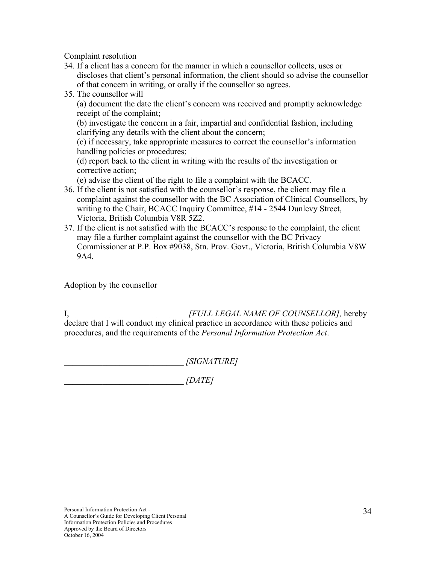Complaint resolution

- 34. If a client has a concern for the manner in which a counsellor collects, uses or discloses that client's personal information, the client should so advise the counsellor of that concern in writing, or orally if the counsellor so agrees.
- 35. The counsellor will

(a) document the date the client's concern was received and promptly acknowledge receipt of the complaint;

(b) investigate the concern in a fair, impartial and confidential fashion, including clarifying any details with the client about the concern;

(c) if necessary, take appropriate measures to correct the counsellor's information handling policies or procedures;

(d) report back to the client in writing with the results of the investigation or corrective action;

(e) advise the client of the right to file a complaint with the BCACC.

- 36. If the client is not satisfied with the counsellor's response, the client may file a complaint against the counsellor with the BC Association of Clinical Counsellors, by writing to the Chair, BCACC Inquiry Committee, #14 - 2544 Dunlevy Street, Victoria, British Columbia V8R 5Z2.
- 37. If the client is not satisfied with the BCACC's response to the complaint, the client may file a further complaint against the counsellor with the BC Privacy Commissioner at P.P. Box #9038, Stn. Prov. Govt., Victoria, British Columbia V8W 9A4.

Adoption by the counsellor

I, \_\_\_\_\_\_\_\_\_\_\_\_\_\_\_\_\_\_\_\_\_\_\_\_\_\_\_ *[FULL LEGAL NAME OF COUNSELLOR],* hereby declare that I will conduct my clinical practice in accordance with these policies and procedures, and the requirements of the *Personal Information Protection Act*.

\_\_\_\_\_\_\_\_\_\_\_\_\_\_\_\_\_\_\_\_\_\_\_\_\_\_\_\_ *[SIGNATURE]*

\_\_\_\_\_\_\_\_\_\_\_\_\_\_\_\_\_\_\_\_\_\_\_\_\_\_\_\_ *[DATE]*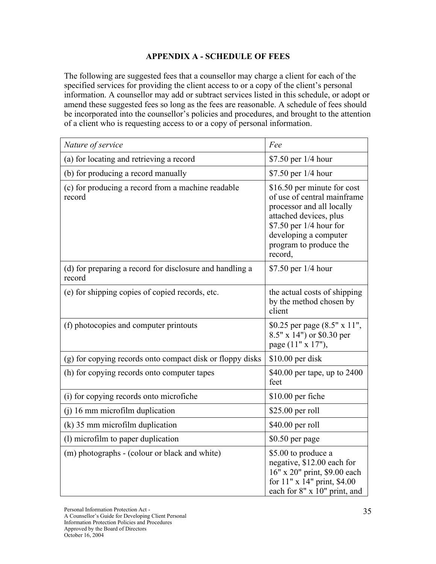#### **APPENDIX A - SCHEDULE OF FEES**

The following are suggested fees that a counsellor may charge a client for each of the specified services for providing the client access to or a copy of the client's personal information. A counsellor may add or subtract services listed in this schedule, or adopt or amend these suggested fees so long as the fees are reasonable. A schedule of fees should be incorporated into the counsellor's policies and procedures, and brought to the attention of a client who is requesting access to or a copy of personal information.

| Nature of service                                                  | Fee                                                                                                                                                                                                         |
|--------------------------------------------------------------------|-------------------------------------------------------------------------------------------------------------------------------------------------------------------------------------------------------------|
| (a) for locating and retrieving a record                           | \$7.50 per 1/4 hour                                                                                                                                                                                         |
| (b) for producing a record manually                                | \$7.50 per 1/4 hour                                                                                                                                                                                         |
| (c) for producing a record from a machine readable<br>record       | \$16.50 per minute for cost<br>of use of central mainframe<br>processor and all locally<br>attached devices, plus<br>$$7.50$ per 1/4 hour for<br>developing a computer<br>program to produce the<br>record, |
| (d) for preparing a record for disclosure and handling a<br>record | \$7.50 per 1/4 hour                                                                                                                                                                                         |
| (e) for shipping copies of copied records, etc.                    | the actual costs of shipping<br>by the method chosen by<br>client                                                                                                                                           |
| (f) photocopies and computer printouts                             | \$0.25 per page (8.5" x 11",<br>8.5" x 14") or \$0.30 per<br>page (11" x 17"),                                                                                                                              |
| (g) for copying records onto compact disk or floppy disks          | $$10.00$ per disk                                                                                                                                                                                           |
| (h) for copying records onto computer tapes                        | \$40.00 per tape, up to 2400<br>feet                                                                                                                                                                        |
| (i) for copying records onto microfiche                            | \$10.00 per fiche                                                                                                                                                                                           |
| $(i)$ 16 mm microfilm duplication                                  | $$25.00$ per roll                                                                                                                                                                                           |
| $(k)$ 35 mm microfilm duplication                                  | \$40.00 per roll                                                                                                                                                                                            |
| (1) microfilm to paper duplication                                 | \$0.50 per page                                                                                                                                                                                             |
| (m) photographs - (colour or black and white)                      | \$5.00 to produce a<br>negative, \$12.00 each for<br>16" x 20" print, \$9.00 each<br>for 11" x 14" print, \$4.00<br>each for 8" x 10" print, and                                                            |